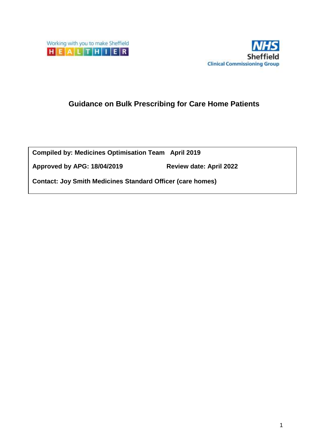



# **Guidance on Bulk Prescribing for Care Home Patients**

**Compiled by: Medicines Optimisation Team April 2019** 

**Approved by APG: 18/04/2019 Review date: April 2022**

**Contact: Joy Smith Medicines Standard Officer (care homes)**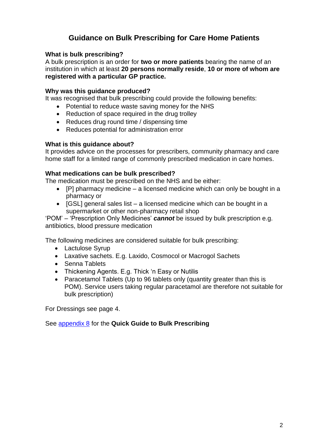# **Guidance on Bulk Prescribing for Care Home Patients**

### **What is bulk prescribing?**

A bulk prescription is an order for **two or more patients** bearing the name of an institution in which at least **20 persons normally reside**, **10 or more of whom are registered with a particular GP practice.**

#### **Why was this guidance produced?**

It was recognised that bulk prescribing could provide the following benefits:

- Potential to reduce waste saving money for the NHS
- Reduction of space required in the drug trolley
- Reduces drug round time / dispensing time
- Reduces potential for administration error

### **What is this guidance about?**

It provides advice on the processes for prescribers, community pharmacy and care home staff for a limited range of commonly prescribed medication in care homes.

### **What medications can be bulk prescribed?**

The medication must be prescribed on the NHS and be either:

- $\bullet$  [P] pharmacy medicine a licensed medicine which can only be bought in a pharmacy or
- $\bullet$  [GSL] general sales list a licensed medicine which can be bought in a supermarket or other non-pharmacy retail shop

'POM' – 'Prescription Only Medicines' *cannot* be issued by bulk prescription e.g. antibiotics, blood pressure medication

The following medicines are considered suitable for bulk prescribing:

- Lactulose Syrup
- Laxative sachets. E.g. Laxido, Cosmocol or Macrogol Sachets
- Senna Tablets
- Thickening Agents. E.g. Thick 'n Easy or Nutilis
- Paracetamol Tablets (Up to 96 tablets only (quantity greater than this is POM). Service users taking regular paracetamol are therefore not suitable for bulk prescription)

For Dressings see page 4.

See [appendix 8](#page-16-0) for the **Quick Guide to Bulk Prescribing**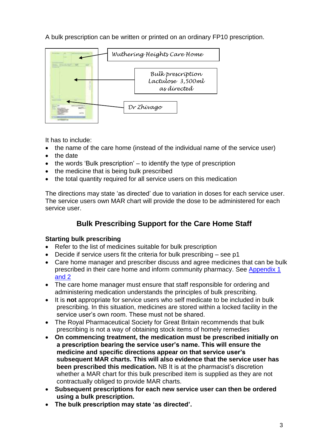A bulk prescription can be written or printed on an ordinary FP10 prescription.



It has to include:

- the name of the care home (instead of the individual name of the service user)
- the date
- $\bullet$  the words 'Bulk prescription'  $-$  to identify the type of prescription
- the medicine that is being bulk prescribed
- the total quantity required for all service users on this medication

The directions may state 'as directed' due to variation in doses for each service user. The service users own MAR chart will provide the dose to be administered for each service user.

# **Bulk Prescribing Support for the Care Home Staff**

## **Starting bulk prescribing**

- Refer to the list of medicines suitable for bulk prescription
- Decide if service users fit the criteria for bulk prescribing see p1
- Care home manager and prescriber discuss and agree medicines that can be bulk prescribed in their care home and inform community pharmacy. See [Appendix 1](#page-8-0) [and 2](#page-9-0)
- The care home manager must ensure that staff responsible for ordering and administering medication understands the principles of bulk prescribing.
- It is **not** appropriate for service users who self medicate to be included in bulk prescribing. In this situation, medicines are stored within a locked facility in the service user's own room. These must not be shared.
- The Royal Pharmaceutical Society for Great Britain recommends that bulk prescribing is not a way of obtaining stock items of homely remedies
- **On commencing treatment, the medication must be prescribed initially on a prescription bearing the service user's name. This will ensure the medicine and specific directions appear on that service user's subsequent MAR charts. This will also evidence that the service user has been prescribed this medication.** NB It is at the pharmacist's discretion whether a MAR chart for this bulk prescribed item is supplied as they are not contractually obliged to provide MAR charts.
- **Subsequent prescriptions for each new service user can then be ordered using a bulk prescription.**
- **The bulk prescription may state 'as directed'.**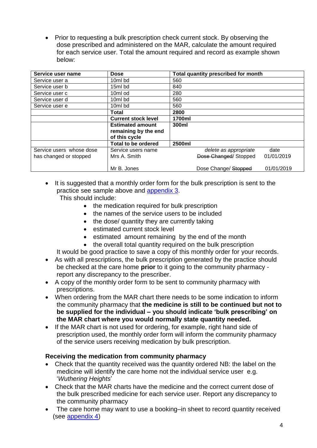Prior to requesting a bulk prescription check current stock. By observing the dose prescribed and administered on the MAR, calculate the amount required for each service user. Total the amount required and record as example shown below:

| Service user name        | <b>Dose</b>                |        | Total quantity prescribed for month |            |
|--------------------------|----------------------------|--------|-------------------------------------|------------|
| Service user a           | 10ml bd                    | 560    |                                     |            |
| Service user b           | 15ml bd                    | 840    |                                     |            |
| Service user c           | 10ml od                    | 280    |                                     |            |
| Service user d           | 10ml bd                    | 560    |                                     |            |
| Service user e           | 10ml bd                    | 560    |                                     |            |
|                          | <b>Total</b>               | 2800   |                                     |            |
|                          | <b>Current stock level</b> | 1700ml |                                     |            |
|                          | <b>Estimated amount</b>    | 300ml  |                                     |            |
|                          | remaining by the end       |        |                                     |            |
|                          | of this cycle              |        |                                     |            |
|                          | Total to be ordered        | 2500ml |                                     |            |
| Service users whose dose | Service users name         |        | delete as appropriate               | date       |
| has changed or stopped   | Mrs A. Smith               |        | Dose Changed/Stopped                | 01/01/2019 |
|                          |                            |        |                                     |            |
|                          | Mr B. Jones                |        | Dose Change/ Stopped                | 01/01/2019 |

• It is suggested that a monthly order form for the bulk prescription is sent to the practice see sample above and [appendix 3.](#page-10-0)

This should include:

- the medication required for bulk prescription
- the names of the service users to be included
- the dose/ quantity they are currently taking
- estimated current stock level
- estimated amount remaining by the end of the month
- the overall total quantity required on the bulk prescription

It would be good practice to save a copy of this monthly order for your records.

- As with all prescriptions, the bulk prescription generated by the practice should be checked at the care home **prior** to it going to the community pharmacy report any discrepancy to the prescriber.
- A copy of the monthly order form to be sent to community pharmacy with prescriptions.
- When ordering from the MAR chart there needs to be some indication to inform the community pharmacy that **the medicine is still to be continued but not to be supplied for the individual – you should indicate 'bulk prescribing' on the MAR chart where you would normally state quantity needed.**
- If the MAR chart is not used for ordering, for example, right hand side of prescription used, the monthly order form will inform the community pharmacy of the service users receiving medication by bulk prescription.

## **Receiving the medication from community pharmacy**

- Check that the quantity received was the quantity ordered NB: the label on the medicine will identify the care home not the individual service user e.g. '*Wuthering Heights*'
- Check that the MAR charts have the medicine and the correct current dose of the bulk prescribed medicine for each service user. Report any discrepancy to the community pharmacy
- The care home may want to use a booking–in sheet to record quantity received (see [appendix 4\)](#page-11-0)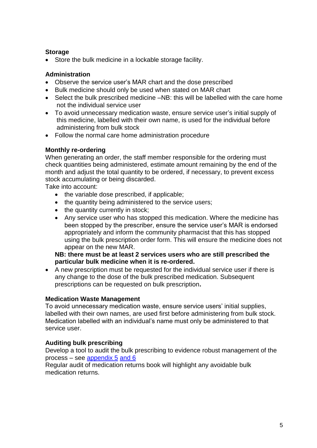## **Storage**

• Store the bulk medicine in a lockable storage facility.

### **Administration**

- Observe the service user's MAR chart and the dose prescribed
- Bulk medicine should only be used when stated on MAR chart
- Select the bulk prescribed medicine –NB: this will be labelled with the care home not the individual service user
- To avoid unnecessary medication waste, ensure service user's initial supply of this medicine, labelled with their own name, is used for the individual before administering from bulk stock
- Follow the normal care home administration procedure

### **Monthly re-ordering**

When generating an order, the staff member responsible for the ordering must check quantities being administered, estimate amount remaining by the end of the month and adjust the total quantity to be ordered, if necessary, to prevent excess stock accumulating or being discarded.

Take into account:

- the variable dose prescribed, if applicable;
- the quantity being administered to the service users;
- the quantity currently in stock;
- Any service user who has stopped this medication. Where the medicine has been stopped by the prescriber, ensure the service user's MAR is endorsed appropriately and inform the community pharmacist that this has stopped using the bulk prescription order form. This will ensure the medicine does not appear on the new MAR.

### **NB: there must be at least 2 services users who are still prescribed the particular bulk medicine when it is re-ordered.**

 A new prescription must be requested for the individual service user if there is any change to the dose of the bulk prescribed medication. Subsequent prescriptions can be requested on bulk prescription**.** 

#### **Medication Waste Management**

To avoid unnecessary medication waste, ensure service users' initial supplies, labelled with their own names, are used first before administering from bulk stock. Medication labelled with an individual's name must only be administered to that service user.

## **Auditing bulk prescribing**

Develop a tool to audit the bulk prescribing to evidence robust management of the process – see [appendix 5](#page-12-0) [and 6](#page-13-0)

Regular audit of medication returns book will highlight any avoidable bulk medication returns.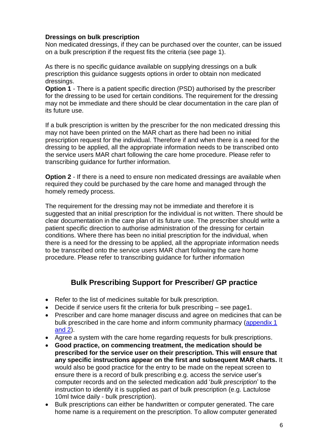### **Dressings on bulk prescription**

Non medicated dressings, if they can be purchased over the counter, can be issued on a bulk prescription if the request fits the criteria (see page 1).

As there is no specific guidance available on supplying dressings on a bulk prescription this guidance suggests options in order to obtain non medicated dressings.

**Option 1** - There is a patient specific direction (PSD) authorised by the prescriber for the dressing to be used for certain conditions. The requirement for the dressing may not be immediate and there should be clear documentation in the care plan of its future use.

If a bulk prescription is written by the prescriber for the non medicated dressing this may not have been printed on the MAR chart as there had been no initial prescription request for the individual. Therefore if and when there is a need for the dressing to be applied, all the appropriate information needs to be transcribed onto the service users MAR chart following the care home procedure. Please refer to transcribing guidance for further information.

**Option 2** - If there is a need to ensure non medicated dressings are available when required they could be purchased by the care home and managed through the homely remedy process.

The requirement for the dressing may not be immediate and therefore it is suggested that an initial prescription for the individual is not written. There should be clear documentation in the care plan of its future use. The prescriber should write a patient specific direction to authorise administration of the dressing for certain conditions. Where there has been no initial prescription for the individual, when there is a need for the dressing to be applied, all the appropriate information needs to be transcribed onto the service users MAR chart following the care home procedure. Please refer to transcribing guidance for further information

# **Bulk Prescribing Support for Prescriber/ GP practice**

- Refer to the list of medicines suitable for bulk prescription.
- Decide if service users fit the criteria for bulk prescribing see page1.
- Prescriber and care home manager discuss and agree on medicines that can be bulk prescribed in the care home and inform community pharmacy [\(appendix 1](#page-8-0) [and](#page-9-0) 2).
- Agree a system with the care home regarding requests for bulk prescriptions.
- **Good practice, on commencing treatment, the medication should be prescribed for the service user on their prescription. This will ensure that any specific instructions appear on the first and subsequent MAR charts.** It would also be good practice for the entry to be made on the repeat screen to ensure there is a record of bulk prescribing e.g. access the service user's computer records and on the selected medication add '*bulk prescription*' to the instruction to identify it is supplied as part of bulk prescription (e.g. Lactulose 10ml twice daily - bulk prescription).
- Bulk prescriptions can either be handwritten or computer generated. The care home name is a requirement on the prescription. To allow computer generated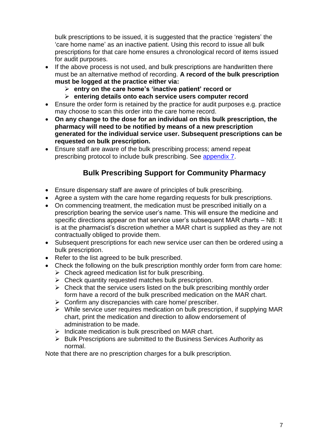bulk prescriptions to be issued, it is suggested that the practice 'registers' the 'care home name' as an inactive patient. Using this record to issue all bulk prescriptions for that care home ensures a chronological record of items issued for audit purposes.

- If the above process is not used, and bulk prescriptions are handwritten there must be an alternative method of recording. **A record of the bulk prescription must be logged at the practice either via:**
	- **entry on the care home's 'inactive patient' record or**
	- **entering details onto each service users computer record**
- Ensure the order form is retained by the practice for audit purposes e.g. practice may choose to scan this order into the care home record.
- **On any change to the dose for an individual on this bulk prescription, the pharmacy will need to be notified by means of a new prescription generated for the individual service user. Subsequent prescriptions can be requested on bulk prescription.**
- Ensure staff are aware of the bulk prescribing process; amend repeat prescribing protocol to include bulk prescribing. See [appendix 7.](#page-14-0)

# **Bulk Prescribing Support for Community Pharmacy**

- Ensure dispensary staff are aware of principles of bulk prescribing.
- Agree a system with the care home regarding requests for bulk prescriptions.
- On commencing treatment, the medication must be prescribed initially on a prescription bearing the service user's name. This will ensure the medicine and specific directions appear on that service user's subsequent MAR charts – NB: It is at the pharmacist's discretion whether a MAR chart is supplied as they are not contractually obliged to provide them.
- Subsequent prescriptions for each new service user can then be ordered using a bulk prescription.
- Refer to the list agreed to be bulk prescribed.
- Check the following on the bulk prescription monthly order form from care home:
	- $\triangleright$  Check agreed medication list for bulk prescribing.
	- $\triangleright$  Check quantity requested matches bulk prescription.
	- $\triangleright$  Check that the service users listed on the bulk prescribing monthly order form have a record of the bulk prescribed medication on the MAR chart.
	- $\triangleright$  Confirm any discrepancies with care home/ prescriber.
	- $\triangleright$  While service user requires medication on bulk prescription, if supplying MAR chart, print the medication and direction to allow endorsement of administration to be made.
	- $\triangleright$  Indicate medication is bulk prescribed on MAR chart.
	- $\triangleright$  Bulk Prescriptions are submitted to the Business Services Authority as normal.

Note that there are no prescription charges for a bulk prescription.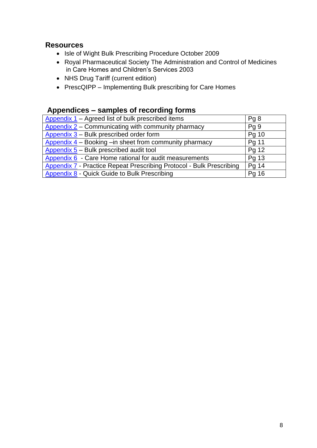# **Resources**

- Isle of Wight Bulk Prescribing Procedure October 2009
- Royal Pharmaceutical Society The Administration and Control of Medicines in Care Homes and Children's Services 2003
- NHS Drug Tariff (current edition)
- PrescQIPP Implementing Bulk prescribing for Care Homes

# **Appendices – samples of recording forms**

| Appendix 1 – Agreed list of bulk prescribed items                           | Pg8             |
|-----------------------------------------------------------------------------|-----------------|
|                                                                             |                 |
| Appendix $2$ – Communicating with community pharmacy                        | Pg <sub>9</sub> |
| Appendix $3$ – Bulk prescribed order form                                   | Pg 10           |
| Appendix $4$ – Booking –in sheet from community pharmacy                    | Pg 11           |
| Appendix $5$ – Bulk prescribed audit tool                                   | Pg 12           |
| Appendix 6 - Care Home rational for audit measurements                      | Pg 13           |
| <b>Appendix 7 - Practice Repeat Prescribing Protocol - Bulk Prescribing</b> | Pg 14           |
| Appendix 8 - Quick Guide to Bulk Prescribing                                | Pg 16           |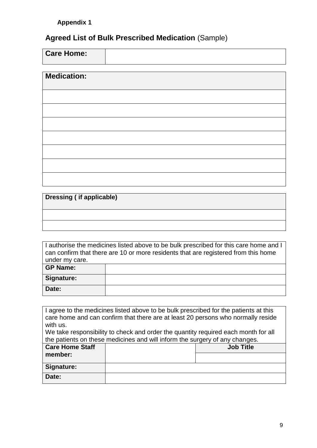# <span id="page-8-0"></span>**Agreed List of Bulk Prescribed Medication** (Sample)

| <b>Care Home:</b> |  |
|-------------------|--|

| <b>Medication:</b> |  |  |
|--------------------|--|--|
|                    |  |  |
|                    |  |  |
|                    |  |  |
|                    |  |  |
|                    |  |  |
|                    |  |  |

|  |  |  | Dressing (if applicable) |
|--|--|--|--------------------------|
|--|--|--|--------------------------|

|                 | I authorise the medicines listed above to be bulk prescribed for this care home and I |
|-----------------|---------------------------------------------------------------------------------------|
|                 | can confirm that there are 10 or more residents that are registered from this home    |
| under my care.  |                                                                                       |
| <b>GP Name:</b> |                                                                                       |
| Signature:      |                                                                                       |
|                 |                                                                                       |
| Date:           |                                                                                       |

|                        | I agree to the medicines listed above to be bulk prescribed for the patients at this |  |  |  |  |
|------------------------|--------------------------------------------------------------------------------------|--|--|--|--|
|                        | care home and can confirm that there are at least 20 persons who normally reside     |  |  |  |  |
| with us.               |                                                                                      |  |  |  |  |
|                        | We take responsibility to check and order the quantity required each month for all   |  |  |  |  |
|                        | the patients on these medicines and will inform the surgery of any changes.          |  |  |  |  |
| <b>Care Home Staff</b> | <b>Job Title</b>                                                                     |  |  |  |  |
| member:                |                                                                                      |  |  |  |  |
|                        |                                                                                      |  |  |  |  |
| Signature:             |                                                                                      |  |  |  |  |
| Date:                  |                                                                                      |  |  |  |  |
|                        |                                                                                      |  |  |  |  |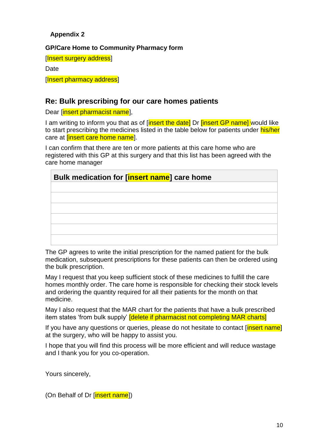# <span id="page-9-0"></span>**Appendix 2**

## **GP/Care Home to Community Pharmacy form**

[Insert surgery address]

**Date** 

**[Insert pharmacy address]** 

# **Re: Bulk prescribing for our care homes patients**

Dear [insert pharmacist name],

I am writing to inform you that as of [insert the date] Dr [insert GP name] would like to start prescribing the medicines listed in the table below for patients under his/her care at *linsert* care home name.

I can confirm that there are ten or more patients at this care home who are registered with this GP at this surgery and that this list has been agreed with the care home manager

| Bulk medication for [insert name] care home |  |  |  |
|---------------------------------------------|--|--|--|
|                                             |  |  |  |
|                                             |  |  |  |
|                                             |  |  |  |
|                                             |  |  |  |
|                                             |  |  |  |
|                                             |  |  |  |

The GP agrees to write the initial prescription for the named patient for the bulk medication, subsequent prescriptions for these patients can then be ordered using the bulk prescription.

May I request that you keep sufficient stock of these medicines to fulfill the care homes monthly order. The care home is responsible for checking their stock levels and ordering the quantity required for all their patients for the month on that medicine.

May I also request that the MAR chart for the patients that have a bulk prescribed item states 'from bulk supply' **[delete if pharmacist not completing MAR charts]** 

If you have any questions or queries, please do not hesitate to contact [insert name] at the surgery, who will be happy to assist you.

I hope that you will find this process will be more efficient and will reduce wastage and I thank you for you co-operation.

Yours sincerely,

(On Behalf of Dr [insert name])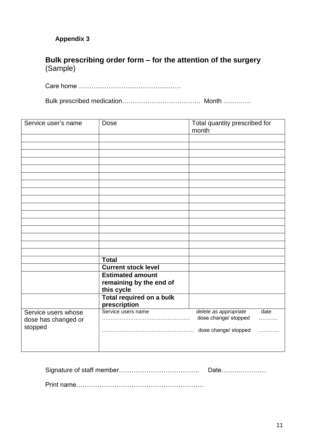# <span id="page-10-0"></span>**Appendix 3**

# **Bulk prescribing order form – for the attention of the surgery**  (Sample)

Care home …………………………………………

Bulk prescribed medication………………………………. Month ………….

| Service user's name | Dose                            | Total quantity prescribed for<br>month |
|---------------------|---------------------------------|----------------------------------------|
|                     |                                 |                                        |
|                     |                                 |                                        |
|                     |                                 |                                        |
|                     |                                 |                                        |
|                     |                                 |                                        |
|                     |                                 |                                        |
|                     |                                 |                                        |
|                     |                                 |                                        |
|                     |                                 |                                        |
|                     |                                 |                                        |
|                     |                                 |                                        |
|                     |                                 |                                        |
|                     |                                 |                                        |
|                     |                                 |                                        |
|                     |                                 |                                        |
|                     |                                 |                                        |
|                     | <b>Total</b>                    |                                        |
|                     | <b>Current stock level</b>      |                                        |
|                     | <b>Estimated amount</b>         |                                        |
|                     | remaining by the end of         |                                        |
|                     | this cycle                      |                                        |
|                     | <b>Total required on a bulk</b> |                                        |
|                     | prescription                    |                                        |
| Service users whose | Service users name              | delete as appropriate<br>date          |
| dose has changed or |                                 | dose change/ stopped<br>.              |
| stopped             |                                 | dose change/ stopped<br>.              |
|                     |                                 |                                        |
|                     |                                 |                                        |

| Date |
|------|
|      |

Print name……………………………………………………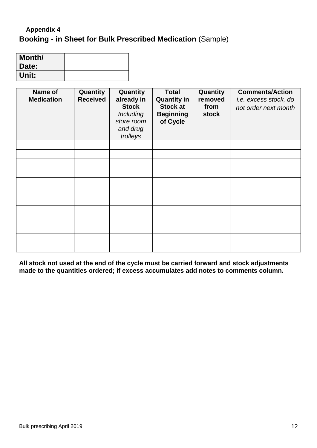# <span id="page-11-0"></span>**Booking - in Sheet for Bulk Prescribed Medication** (Sample) **Appendix 4**

| Month/ |  |
|--------|--|
| Date:  |  |
| Unit:  |  |

| Name of<br><b>Medication</b> | Quantity<br><b>Received</b> | Quantity<br>already in<br><b>Stock</b><br>Including<br>store room<br>and drug<br>trolleys | <b>Total</b><br><b>Quantity in</b><br><b>Stock at</b><br><b>Beginning</b><br>of Cycle | Quantity<br>removed<br>from<br><b>stock</b> | <b>Comments/Action</b><br>i.e. excess stock, do<br>not order next month |
|------------------------------|-----------------------------|-------------------------------------------------------------------------------------------|---------------------------------------------------------------------------------------|---------------------------------------------|-------------------------------------------------------------------------|
|                              |                             |                                                                                           |                                                                                       |                                             |                                                                         |
|                              |                             |                                                                                           |                                                                                       |                                             |                                                                         |
|                              |                             |                                                                                           |                                                                                       |                                             |                                                                         |
|                              |                             |                                                                                           |                                                                                       |                                             |                                                                         |
|                              |                             |                                                                                           |                                                                                       |                                             |                                                                         |
|                              |                             |                                                                                           |                                                                                       |                                             |                                                                         |
|                              |                             |                                                                                           |                                                                                       |                                             |                                                                         |
|                              |                             |                                                                                           |                                                                                       |                                             |                                                                         |
|                              |                             |                                                                                           |                                                                                       |                                             |                                                                         |
|                              |                             |                                                                                           |                                                                                       |                                             |                                                                         |
|                              |                             |                                                                                           |                                                                                       |                                             |                                                                         |
|                              |                             |                                                                                           |                                                                                       |                                             |                                                                         |

**All stock not used at the end of the cycle must be carried forward and stock adjustments made to the quantities ordered; if excess accumulates add notes to comments column.**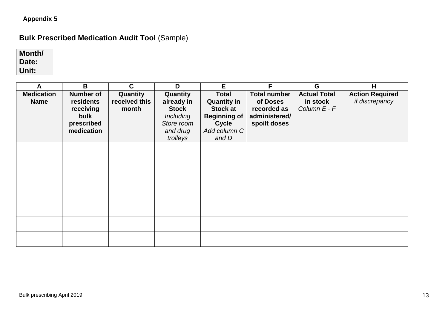# **Appendix 5**

# **Bulk Prescribed Medication Audit Tool** (Sample)

| Month/ |  |
|--------|--|
| Date:  |  |
| Unit:  |  |

<span id="page-12-0"></span>

| A                                | B                                                                              | $\mathbf{C}$                       | D                                                                                                | E.                                                                                                                    | F                                                                               | G                                               | H                                        |
|----------------------------------|--------------------------------------------------------------------------------|------------------------------------|--------------------------------------------------------------------------------------------------|-----------------------------------------------------------------------------------------------------------------------|---------------------------------------------------------------------------------|-------------------------------------------------|------------------------------------------|
| <b>Medication</b><br><b>Name</b> | <b>Number of</b><br>residents<br>receiving<br>bulk<br>prescribed<br>medication | Quantity<br>received this<br>month | Quantity<br>already in<br><b>Stock</b><br><i>Including</i><br>Store room<br>and drug<br>trolleys | <b>Total</b><br><b>Quantity in</b><br><b>Stock at</b><br><b>Beginning of</b><br><b>Cycle</b><br>Add column C<br>and D | <b>Total number</b><br>of Doses<br>recorded as<br>administered/<br>spoilt doses | <b>Actual Total</b><br>in stock<br>Column E - F | <b>Action Required</b><br>if discrepancy |
|                                  |                                                                                |                                    |                                                                                                  |                                                                                                                       |                                                                                 |                                                 |                                          |
|                                  |                                                                                |                                    |                                                                                                  |                                                                                                                       |                                                                                 |                                                 |                                          |
|                                  |                                                                                |                                    |                                                                                                  |                                                                                                                       |                                                                                 |                                                 |                                          |
|                                  |                                                                                |                                    |                                                                                                  |                                                                                                                       |                                                                                 |                                                 |                                          |
|                                  |                                                                                |                                    |                                                                                                  |                                                                                                                       |                                                                                 |                                                 |                                          |
|                                  |                                                                                |                                    |                                                                                                  |                                                                                                                       |                                                                                 |                                                 |                                          |
|                                  |                                                                                |                                    |                                                                                                  |                                                                                                                       |                                                                                 |                                                 |                                          |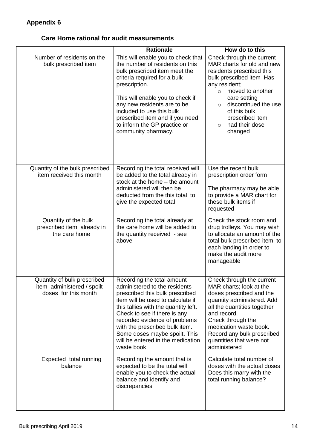# <span id="page-13-0"></span>**Care Home rational for audit measurements**

|                                                                                   | <b>Rationale</b>                                                                                                                                                                                                                                                                                                                                                   | How do to this                                                                                                                                                                                                                                                                                 |  |
|-----------------------------------------------------------------------------------|--------------------------------------------------------------------------------------------------------------------------------------------------------------------------------------------------------------------------------------------------------------------------------------------------------------------------------------------------------------------|------------------------------------------------------------------------------------------------------------------------------------------------------------------------------------------------------------------------------------------------------------------------------------------------|--|
| Number of residents on the<br>bulk prescribed item                                | This will enable you to check that<br>the number of residents on this<br>bulk prescribed item meet the<br>criteria required for a bulk<br>prescription.<br>This will enable you to check if<br>any new residents are to be<br>included to use this bulk<br>prescribed item and if you need<br>to inform the GP practice or<br>community pharmacy.                  | Check through the current<br>MAR charts for old and new<br>residents prescribed this<br>bulk prescribed item Has<br>any resident;<br>moved to another<br>$\circ$<br>care setting<br>discontinued the use<br>$\circ$<br>of this bulk<br>prescribed item<br>had their dose<br>$\circ$<br>changed |  |
| Quantity of the bulk prescribed<br>item received this month                       | Recording the total received will<br>be added to the total already in<br>stock at the home - the amount<br>administered will then be<br>deducted from the this total to<br>give the expected total                                                                                                                                                                 | Use the recent bulk<br>prescription order form<br>The pharmacy may be able<br>to provide a MAR chart for<br>these bulk items if<br>requested                                                                                                                                                   |  |
| Quantity of the bulk<br>prescribed item already in<br>the care home               | Recording the total already at<br>the care home will be added to<br>the quantity received - see<br>above                                                                                                                                                                                                                                                           | Check the stock room and<br>drug trolleys. You may wish<br>to allocate an amount of the<br>total bulk prescribed item to<br>each landing in order to<br>make the audit more<br>manageable                                                                                                      |  |
| Quantity of bulk prescribed<br>item administered / spoilt<br>doses for this month | Recording the total amount<br>administered to the residents<br>prescribed this bulk prescribed<br>item will be used to calculate if<br>this tallies with the quantity left.<br>Check to see if there is any<br>recorded evidence of problems<br>with the prescribed bulk item.<br>Some doses maybe spoilt. This<br>will be entered in the medication<br>waste book | Check through the current<br>MAR charts; look at the<br>doses prescribed and the<br>quantity administered. Add<br>all the quantities together<br>and record.<br>Check through the<br>medication waste book.<br>Record any bulk prescribed<br>quantities that were not<br>administered          |  |
| Expected total running<br>balance                                                 | Recording the amount that is<br>expected to be the total will<br>enable you to check the actual<br>balance and identify and<br>discrepancies                                                                                                                                                                                                                       | Calculate total number of<br>doses with the actual doses<br>Does this marry with the<br>total running balance?                                                                                                                                                                                 |  |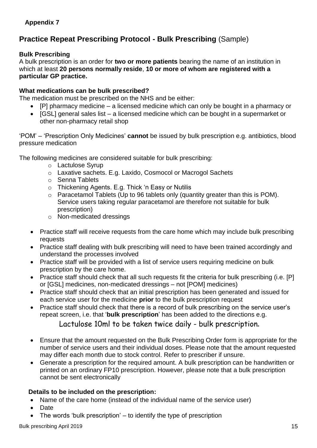# <span id="page-14-0"></span>**Practice Repeat Prescribing Protocol - Bulk Prescribing** (Sample)

## **Bulk Prescribing**

A bulk prescription is an order for **two or more patients** bearing the name of an institution in which at least **20 persons normally reside**, **10 or more of whom are registered with a particular GP practice.** 

## **What medications can be bulk prescribed?**

The medication must be prescribed on the NHS and be either:

- [P] pharmacy medicine a licensed medicine which can only be bought in a pharmacy or
- $\bullet$  [GSL] general sales list a licensed medicine which can be bought in a supermarket or other non-pharmacy retail shop

'POM' – 'Prescription Only Medicines' **cannot** be issued by bulk prescription e.g. antibiotics, blood pressure medication

The following medicines are considered suitable for bulk prescribing:

- o Lactulose Syrup
- o Laxative sachets. E.g. Laxido, Cosmocol or Macrogol Sachets
- o Senna Tablets
- o Thickening Agents. E.g. Thick 'n Easy or Nutilis
- o Paracetamol Tablets (Up to 96 tablets only (quantity greater than this is POM). Service users taking regular paracetamol are therefore not suitable for bulk prescription)
- o Non-medicated dressings
- Practice staff will receive requests from the care home which may include bulk prescribing requests
- Practice staff dealing with bulk prescribing will need to have been trained accordingly and understand the processes involved
- Practice staff will be provided with a list of service users requiring medicine on bulk prescription by the care home.
- Practice staff should check that all such requests fit the criteria for bulk prescribing (i.e. [P] or [GSL] medicines, non-medicated dressings – not [POM] medicines)
- Practice staff should check that an initial prescription has been generated and issued for each service user for the medicine **prior** to the bulk prescription request
- Practice staff should check that there is a record of bulk prescribing on the service user's repeat screen, i.e. that '**bulk prescription**' has been added to the directions e.g. Lactulose 10ml to be taken twice daily - bulk prescription**.**
- Ensure that the amount requested on the Bulk Prescribing Order form is appropriate for the number of service users and their individual doses. Please note that the amount requested may differ each month due to stock control. Refer to prescriber if unsure.
- Generate a prescription for the required amount. A bulk prescription can be handwritten or printed on an ordinary FP10 prescription. However, please note that a bulk prescription cannot be sent electronically

## **Details to be included on the prescription:**

- Name of the care home (instead of the individual name of the service user)
- **Date**
- The words 'bulk prescription' to identify the type of prescription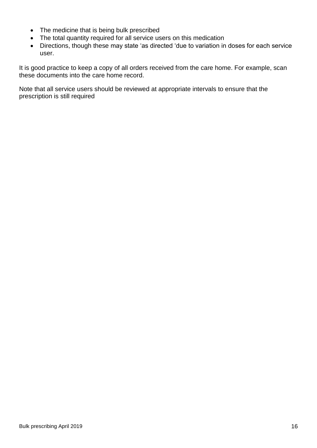- The medicine that is being bulk prescribed
- The total quantity required for all service users on this medication
- Directions, though these may state 'as directed 'due to variation in doses for each service user.

It is good practice to keep a copy of all orders received from the care home. For example, scan these documents into the care home record.

Note that all service users should be reviewed at appropriate intervals to ensure that the prescription is still required